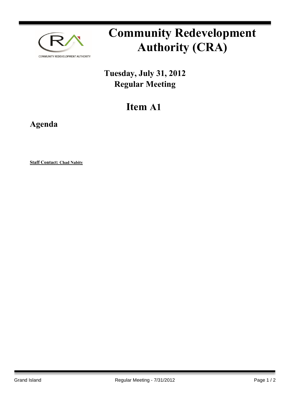

# **Community Redevelopment Authority (CRA)**

### **Tuesday, July 31, 2012 Regular Meeting**

## **Item A1**

### **Agenda**

**Staff Contact: Chad Nabity**